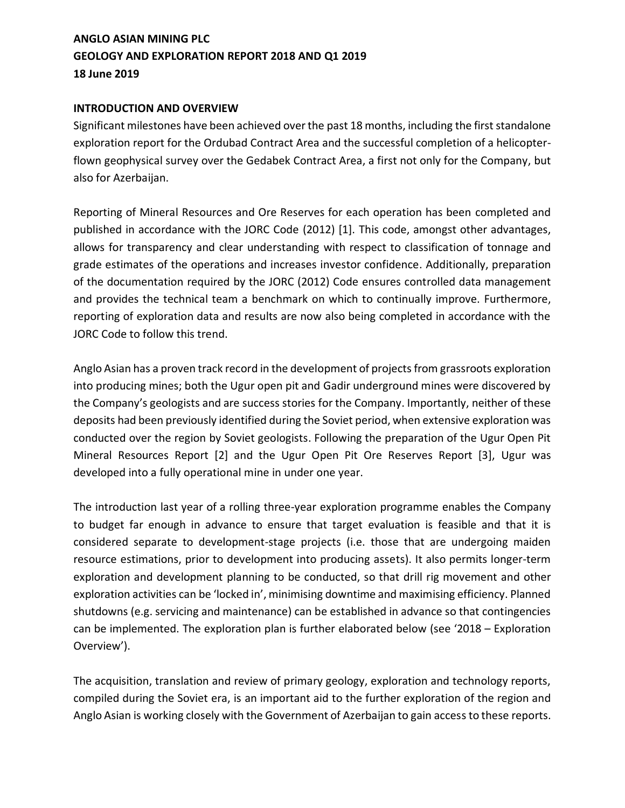# **ANGLO ASIAN MINING PLC GEOLOGY AND EXPLORATION REPORT 2018 AND Q1 2019 18 June 2019**

### **INTRODUCTION AND OVERVIEW**

Significant milestones have been achieved over the past 18 months, including the first standalone exploration report for the Ordubad Contract Area and the successful completion of a helicopterflown geophysical survey over the Gedabek Contract Area, a first not only for the Company, but also for Azerbaijan.

Reporting of Mineral Resources and Ore Reserves for each operation has been completed and published in accordance with the JORC Code (2012) [1]. This code, amongst other advantages, allows for transparency and clear understanding with respect to classification of tonnage and grade estimates of the operations and increases investor confidence. Additionally, preparation of the documentation required by the JORC (2012) Code ensures controlled data management and provides the technical team a benchmark on which to continually improve. Furthermore, reporting of exploration data and results are now also being completed in accordance with the JORC Code to follow this trend.

Anglo Asian has a proven track record in the development of projects from grassroots exploration into producing mines; both the Ugur open pit and Gadir underground mines were discovered by the Company's geologists and are success stories for the Company. Importantly, neither of these deposits had been previously identified during the Soviet period, when extensive exploration was conducted over the region by Soviet geologists. Following the preparation of the Ugur Open Pit Mineral Resources Report [2] and the Ugur Open Pit Ore Reserves Report [3], Ugur was developed into a fully operational mine in under one year.

The introduction last year of a rolling three-year exploration programme enables the Company to budget far enough in advance to ensure that target evaluation is feasible and that it is considered separate to development-stage projects (i.e. those that are undergoing maiden resource estimations, prior to development into producing assets). It also permits longer-term exploration and development planning to be conducted, so that drill rig movement and other exploration activities can be 'locked in', minimising downtime and maximising efficiency. Planned shutdowns (e.g. servicing and maintenance) can be established in advance so that contingencies can be implemented. The exploration plan is further elaborated below (see '2018 – Exploration Overview').

The acquisition, translation and review of primary geology, exploration and technology reports, compiled during the Soviet era, is an important aid to the further exploration of the region and Anglo Asian is working closely with the Government of Azerbaijan to gain access to these reports.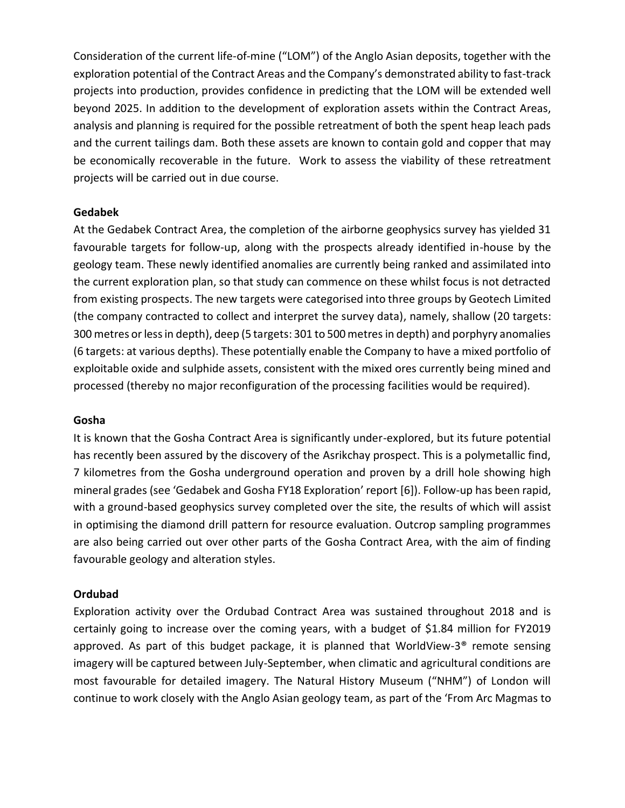Consideration of the current life-of-mine ("LOM") of the Anglo Asian deposits, together with the exploration potential of the Contract Areas and the Company's demonstrated ability to fast-track projects into production, provides confidence in predicting that the LOM will be extended well beyond 2025. In addition to the development of exploration assets within the Contract Areas, analysis and planning is required for the possible retreatment of both the spent heap leach pads and the current tailings dam. Both these assets are known to contain gold and copper that may be economically recoverable in the future. Work to assess the viability of these retreatment projects will be carried out in due course.

#### **Gedabek**

At the Gedabek Contract Area, the completion of the airborne geophysics survey has yielded 31 favourable targets for follow-up, along with the prospects already identified in-house by the geology team. These newly identified anomalies are currently being ranked and assimilated into the current exploration plan, so that study can commence on these whilst focus is not detracted from existing prospects. The new targets were categorised into three groups by Geotech Limited (the company contracted to collect and interpret the survey data), namely, shallow (20 targets: 300 metres or less in depth), deep (5 targets: 301 to 500 metres in depth) and porphyry anomalies (6 targets: at various depths). These potentially enable the Company to have a mixed portfolio of exploitable oxide and sulphide assets, consistent with the mixed ores currently being mined and processed (thereby no major reconfiguration of the processing facilities would be required).

### **Gosha**

It is known that the Gosha Contract Area is significantly under-explored, but its future potential has recently been assured by the discovery of the Asrikchay prospect. This is a polymetallic find, 7 kilometres from the Gosha underground operation and proven by a drill hole showing high mineral grades (see 'Gedabek and Gosha FY18 Exploration' report [6]). Follow-up has been rapid, with a ground-based geophysics survey completed over the site, the results of which will assist in optimising the diamond drill pattern for resource evaluation. Outcrop sampling programmes are also being carried out over other parts of the Gosha Contract Area, with the aim of finding favourable geology and alteration styles.

### **Ordubad**

Exploration activity over the Ordubad Contract Area was sustained throughout 2018 and is certainly going to increase over the coming years, with a budget of \$1.84 million for FY2019 approved. As part of this budget package, it is planned that WorldView-3<sup>®</sup> remote sensing imagery will be captured between July-September, when climatic and agricultural conditions are most favourable for detailed imagery. The Natural History Museum ("NHM") of London will continue to work closely with the Anglo Asian geology team, as part of the 'From Arc Magmas to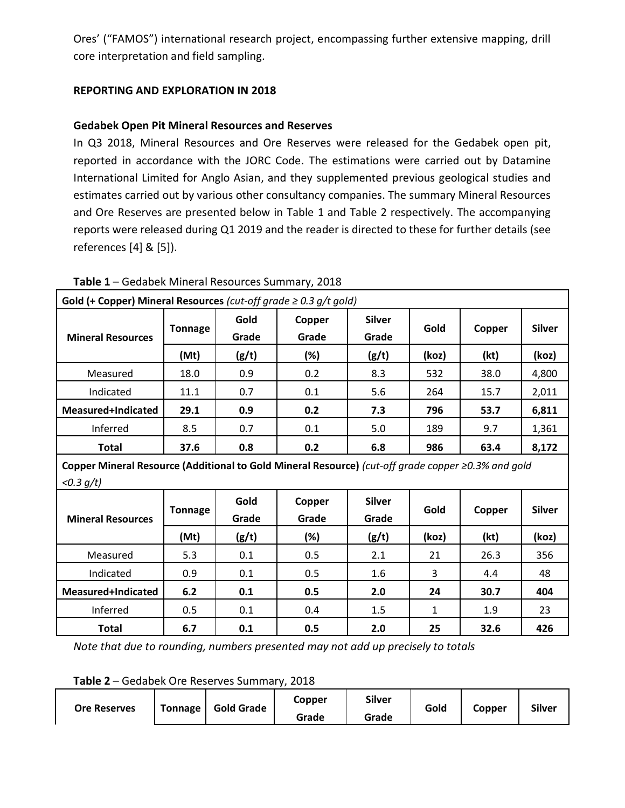Ores' ("FAMOS") international research project, encompassing further extensive mapping, drill core interpretation and field sampling.

# **REPORTING AND EXPLORATION IN 2018**

# **Gedabek Open Pit Mineral Resources and Reserves**

In Q3 2018, Mineral Resources and Ore Reserves were released for the Gedabek open pit, reported in accordance with the JORC Code. The estimations were carried out by Datamine International Limited for Anglo Asian, and they supplemented previous geological studies and estimates carried out by various other consultancy companies. The summary Mineral Resources and Ore Reserves are presented below in Table 1 and Table 2 respectively. The accompanying reports were released during Q1 2019 and the reader is directed to these for further details (see references [4] & [5]).

| <b>Gold (+ Copper) Mineral Resources</b> (cut-off grade $\geq 0.3$ g/t gold)                       |                |               |                 |                        |       |        |               |  |  |
|----------------------------------------------------------------------------------------------------|----------------|---------------|-----------------|------------------------|-------|--------|---------------|--|--|
| <b>Mineral Resources</b>                                                                           | <b>Tonnage</b> | Gold<br>Grade | Copper<br>Grade | <b>Silver</b><br>Grade | Gold  | Copper | <b>Silver</b> |  |  |
|                                                                                                    | (Mt)           | (g/t)         | (%)             | (g/t)                  | (koz) | (kt)   | (koz)         |  |  |
| Measured                                                                                           | 18.0           | 0.9           | 0.2             | 8.3                    | 532   | 38.0   | 4,800         |  |  |
| Indicated                                                                                          | 11.1           | 0.7           | 0.1             | 5.6                    | 264   | 15.7   | 2,011         |  |  |
| Measured+Indicated                                                                                 | 29.1           | 0.9           | 0.2             | 7.3                    | 796   | 53.7   | 6,811         |  |  |
| Inferred                                                                                           | 8.5            | 0.7           | 0.1             | 5.0                    | 189   | 9.7    | 1,361         |  |  |
| <b>Total</b>                                                                                       | 37.6           | 0.8           | 0.2             | 6.8                    | 986   | 63.4   | 8,172         |  |  |
| Copper Mineral Resource (Additional to Gold Mineral Resource) (cut-off grade copper ≥0.3% and gold |                |               |                 |                        |       |        |               |  |  |
| $< 0.3 q/t$ )                                                                                      |                |               |                 |                        |       |        |               |  |  |
|                                                                                                    | Tonnage        | Gold          | Copper          | <b>Silver</b>          | Gold  | Conner | <b>Silver</b> |  |  |

**Table 1** – Gedabek Mineral Resources Summary, 2018

**Mineral Resources Tonnage Grade Grade Grade Gold Copper Silver (Mt) (g/t) (%) (g/t) (koz) (kt) (koz)** Measured | 5.3 | 0.1 | 0.5 | 2.1 | 21 | 26.3 | 356 Indicated | 0.9 | 0.1 | 0.5 | 1.6 | 3 | 4.4 | 48 **Measured+Indicated 6.2 0.1 0.5 2.0 24 30.7 404** Inferred 0.5 0.1 0.4 1.5 1 1.9 23 **Total 6.7 0.1 0.5 2.0 25 32.6 426**

*Note that due to rounding, numbers presented may not add up precisely to totals*

**Table 2** – Gedabek Ore Reserves Summary, 2018

| <b>Gold Grade</b><br><b>Tonnage</b><br><b>Ore Reserves</b> | Copper<br>Grade | <b>Silver</b><br>Grade | Gold | Copper | <b>Silver</b> |
|------------------------------------------------------------|-----------------|------------------------|------|--------|---------------|
|------------------------------------------------------------|-----------------|------------------------|------|--------|---------------|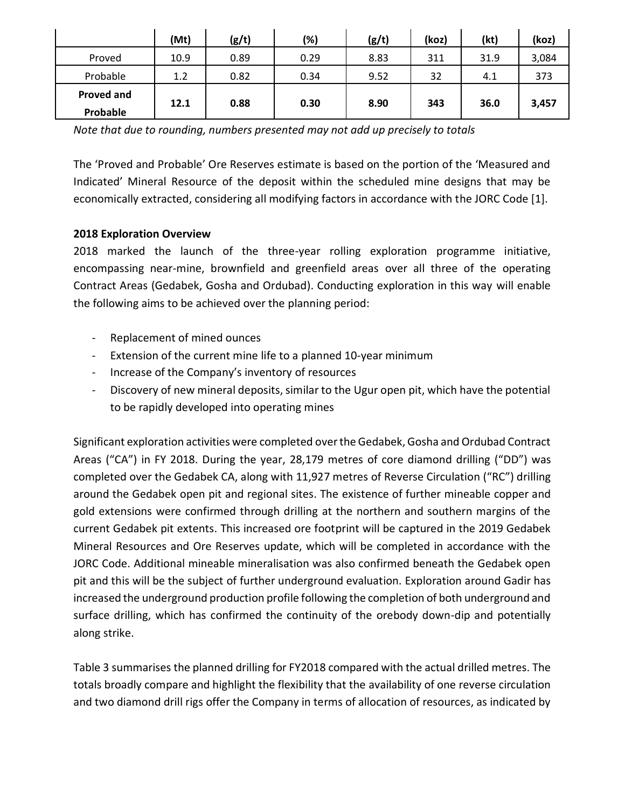|                               | (Mt) | (g/t) | (%)  | (g/t) | (koz) | (kt) | (koz) |
|-------------------------------|------|-------|------|-------|-------|------|-------|
| Proved                        | 10.9 | 0.89  | 0.29 | 8.83  | 311   | 31.9 | 3,084 |
| Probable                      | 1.2  | 0.82  | 0.34 | 9.52  | 32    | 4.1  | 373   |
| <b>Proved and</b><br>Probable | 12.1 | 0.88  | 0.30 | 8.90  | 343   | 36.0 | 3,457 |

*Note that due to rounding, numbers presented may not add up precisely to totals*

The 'Proved and Probable' Ore Reserves estimate is based on the portion of the 'Measured and Indicated' Mineral Resource of the deposit within the scheduled mine designs that may be economically extracted, considering all modifying factors in accordance with the JORC Code [1].

## **2018 Exploration Overview**

2018 marked the launch of the three-year rolling exploration programme initiative, encompassing near-mine, brownfield and greenfield areas over all three of the operating Contract Areas (Gedabek, Gosha and Ordubad). Conducting exploration in this way will enable the following aims to be achieved over the planning period:

- Replacement of mined ounces
- Extension of the current mine life to a planned 10-year minimum
- Increase of the Company's inventory of resources
- Discovery of new mineral deposits, similar to the Ugur open pit, which have the potential to be rapidly developed into operating mines

Significant exploration activities were completed over the Gedabek, Gosha and Ordubad Contract Areas ("CA") in FY 2018. During the year, 28,179 metres of core diamond drilling ("DD") was completed over the Gedabek CA, along with 11,927 metres of Reverse Circulation ("RC") drilling around the Gedabek open pit and regional sites. The existence of further mineable copper and gold extensions were confirmed through drilling at the northern and southern margins of the current Gedabek pit extents. This increased ore footprint will be captured in the 2019 Gedabek Mineral Resources and Ore Reserves update, which will be completed in accordance with the JORC Code. Additional mineable mineralisation was also confirmed beneath the Gedabek open pit and this will be the subject of further underground evaluation. Exploration around Gadir has increased the underground production profile following the completion of both underground and surface drilling, which has confirmed the continuity of the orebody down-dip and potentially along strike.

Table 3 summarises the planned drilling for FY2018 compared with the actual drilled metres. The totals broadly compare and highlight the flexibility that the availability of one reverse circulation and two diamond drill rigs offer the Company in terms of allocation of resources, as indicated by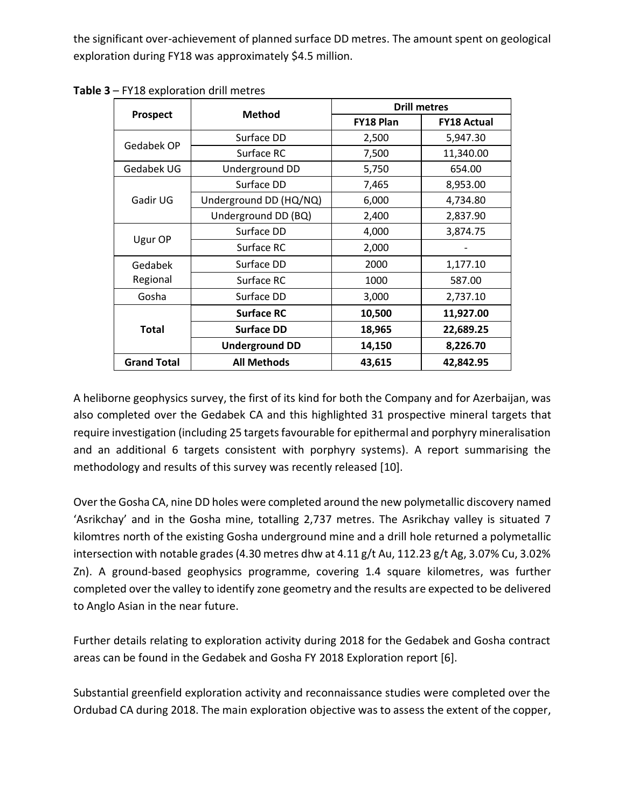the significant over-achievement of planned surface DD metres. The amount spent on geological exploration during FY18 was approximately \$4.5 million.

|                    |                        | <b>Drill metres</b> |                    |  |  |
|--------------------|------------------------|---------------------|--------------------|--|--|
| <b>Prospect</b>    | <b>Method</b>          | <b>FY18 Plan</b>    | <b>FY18 Actual</b> |  |  |
|                    | Surface DD             | 2,500               | 5,947.30           |  |  |
| Gedabek OP         | Surface RC             | 7,500               | 11,340.00          |  |  |
| Gedabek UG         | Underground DD         | 5,750               | 654.00             |  |  |
|                    | Surface DD             | 7,465               | 8,953.00           |  |  |
| Gadir UG           | Underground DD (HQ/NQ) | 6,000               | 4,734.80           |  |  |
|                    | Underground DD (BQ)    | 2,400               | 2,837.90           |  |  |
| Ugur OP            | Surface DD             | 4,000               | 3,874.75           |  |  |
|                    | Surface RC             | 2,000               |                    |  |  |
| Gedabek            | Surface DD             | 2000                | 1,177.10           |  |  |
| Regional           | Surface RC             | 1000                | 587.00             |  |  |
| Gosha              | Surface DD             | 3,000               | 2,737.10           |  |  |
|                    | <b>Surface RC</b>      | 10,500              | 11,927.00          |  |  |
| <b>Total</b>       | <b>Surface DD</b>      | 18,965              | 22,689.25          |  |  |
|                    | <b>Underground DD</b>  | 14,150              | 8,226.70           |  |  |
| <b>Grand Total</b> | <b>All Methods</b>     | 43,615              | 42,842.95          |  |  |

**Table 3** – FY18 exploration drill metres

A heliborne geophysics survey, the first of its kind for both the Company and for Azerbaijan, was also completed over the Gedabek CA and this highlighted 31 prospective mineral targets that require investigation (including 25 targets favourable for epithermal and porphyry mineralisation and an additional 6 targets consistent with porphyry systems). A report summarising the methodology and results of this survey was recently released [10].

Over the Gosha CA, nine DD holes were completed around the new polymetallic discovery named 'Asrikchay' and in the Gosha mine, totalling 2,737 metres. The Asrikchay valley is situated 7 kilomtres north of the existing Gosha underground mine and a drill hole returned a polymetallic intersection with notable grades (4.30 metres dhw at 4.11 g/t Au, 112.23 g/t Ag, 3.07% Cu, 3.02% Zn). A ground-based geophysics programme, covering 1.4 square kilometres, was further completed over the valley to identify zone geometry and the results are expected to be delivered to Anglo Asian in the near future.

Further details relating to exploration activity during 2018 for the Gedabek and Gosha contract areas can be found in the Gedabek and Gosha FY 2018 Exploration report [6].

Substantial greenfield exploration activity and reconnaissance studies were completed over the Ordubad CA during 2018. The main exploration objective was to assess the extent of the copper,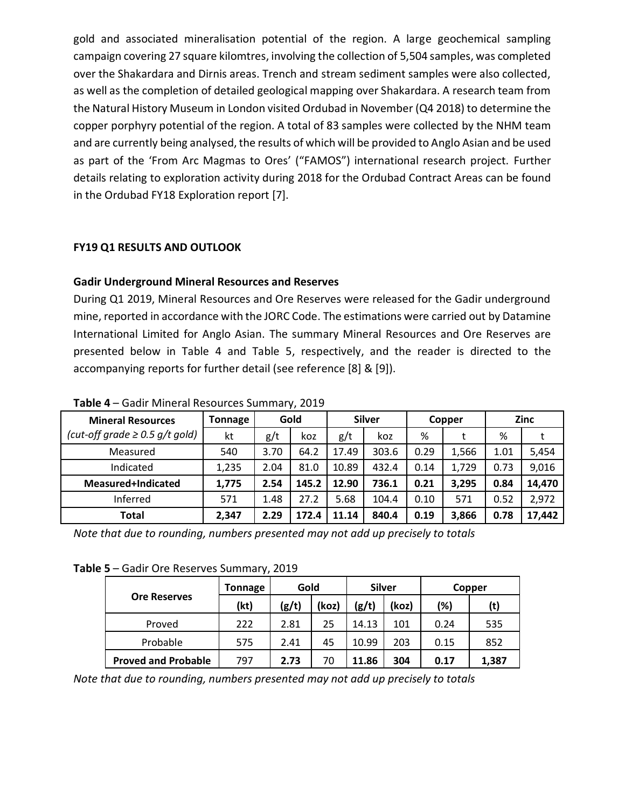gold and associated mineralisation potential of the region. A large geochemical sampling campaign covering 27 square kilomtres, involving the collection of 5,504 samples, was completed over the Shakardara and Dirnis areas. Trench and stream sediment samples were also collected, as well as the completion of detailed geological mapping over Shakardara. A research team from the Natural History Museum in London visited Ordubad in November (Q4 2018) to determine the copper porphyry potential of the region. A total of 83 samples were collected by the NHM team and are currently being analysed, the results of which will be provided to Anglo Asian and be used as part of the 'From Arc Magmas to Ores' ("FAMOS") international research project. Further details relating to exploration activity during 2018 for the Ordubad Contract Areas can be found in the Ordubad FY18 Exploration report [7].

## **FY19 Q1 RESULTS AND OUTLOOK**

### **Gadir Underground Mineral Resources and Reserves**

During Q1 2019, Mineral Resources and Ore Reserves were released for the Gadir underground mine, reported in accordance with the JORC Code. The estimations were carried out by Datamine International Limited for Anglo Asian. The summary Mineral Resources and Ore Reserves are presented below in Table 4 and Table 5, respectively, and the reader is directed to the accompanying reports for further detail (see reference [8] & [9]).

| <b>Mineral Resources</b>            | <b>Tonnage</b> | Gold |       | <b>Silver</b> |       | Copper |       | <b>Zinc</b> |        |
|-------------------------------------|----------------|------|-------|---------------|-------|--------|-------|-------------|--------|
| (cut-off grade $\geq$ 0.5 g/t gold) | kt             | g/t  | koz   | g/t           | koz   | %      |       | %           |        |
| Measured                            | 540            | 3.70 | 64.2  | 17.49         | 303.6 | 0.29   | 1,566 | 1.01        | 5,454  |
| Indicated                           | 1,235          | 2.04 | 81.0  | 10.89         | 432.4 | 0.14   | 1,729 | 0.73        | 9,016  |
| Measured+Indicated                  | 1,775          | 2.54 | 145.2 | 12.90         | 736.1 | 0.21   | 3,295 | 0.84        | 14,470 |
| Inferred                            | 571            | 1.48 | 27.2  | 5.68          | 104.4 | 0.10   | 571   | 0.52        | 2,972  |
| <b>Total</b>                        | 2,347          | 2.29 | 172.4 | 11.14         | 840.4 | 0.19   | 3,866 | 0.78        | 17,442 |

**Table 4** – Gadir Mineral Resources Summary, 2019

*Note that due to rounding, numbers presented may not add up precisely to totals*

**Table 5** – Gadir Ore Reserves Summary, 2019

|                            | Tonnage | Gold  |       | <b>Silver</b> |       | Copper |       |  |
|----------------------------|---------|-------|-------|---------------|-------|--------|-------|--|
| <b>Ore Reserves</b>        | (kt)    | (g/t) | (koz) | (g/t)         | (koz) | (%)    | (t)   |  |
| Proved                     | 222     | 2.81  | 25    | 14.13         | 101   | 0.24   | 535   |  |
| Probable                   | 575     | 2.41  | 45    | 10.99         | 203   | 0.15   | 852   |  |
| <b>Proved and Probable</b> | 797     | 2.73  | 70    | 11.86         | 304   | 0.17   | 1,387 |  |

*Note that due to rounding, numbers presented may not add up precisely to totals*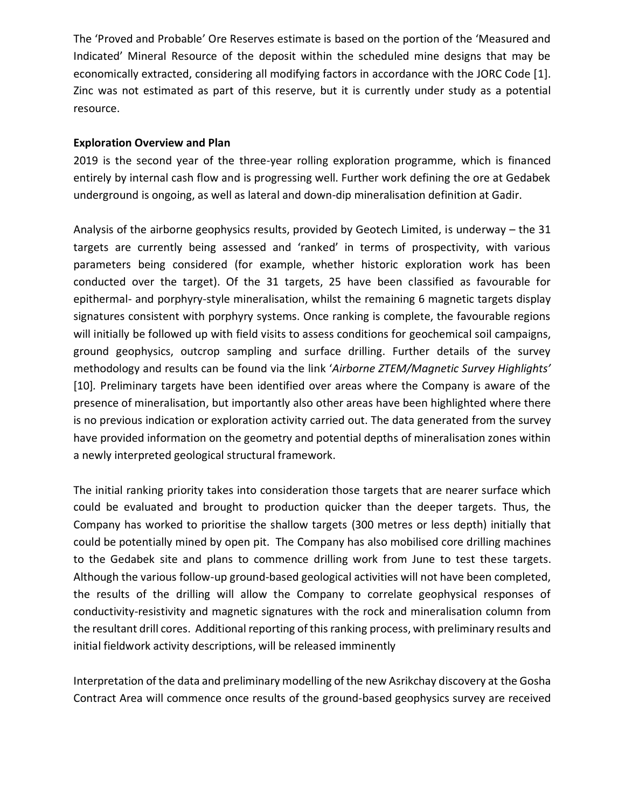The 'Proved and Probable' Ore Reserves estimate is based on the portion of the 'Measured and Indicated' Mineral Resource of the deposit within the scheduled mine designs that may be economically extracted, considering all modifying factors in accordance with the JORC Code [1]. Zinc was not estimated as part of this reserve, but it is currently under study as a potential resource.

### **Exploration Overview and Plan**

2019 is the second year of the three-year rolling exploration programme, which is financed entirely by internal cash flow and is progressing well. Further work defining the ore at Gedabek underground is ongoing, as well as lateral and down-dip mineralisation definition at Gadir.

Analysis of the airborne geophysics results, provided by Geotech Limited, is underway – the 31 targets are currently being assessed and 'ranked' in terms of prospectivity, with various parameters being considered (for example, whether historic exploration work has been conducted over the target). Of the 31 targets, 25 have been classified as favourable for epithermal- and porphyry-style mineralisation, whilst the remaining 6 magnetic targets display signatures consistent with porphyry systems. Once ranking is complete, the favourable regions will initially be followed up with field visits to assess conditions for geochemical soil campaigns, ground geophysics, outcrop sampling and surface drilling. Further details of the survey methodology and results can be found via the link '*Airborne ZTEM/Magnetic Survey Highlights'* [10]*.* Preliminary targets have been identified over areas where the Company is aware of the presence of mineralisation, but importantly also other areas have been highlighted where there is no previous indication or exploration activity carried out. The data generated from the survey have provided information on the geometry and potential depths of mineralisation zones within a newly interpreted geological structural framework.

The initial ranking priority takes into consideration those targets that are nearer surface which could be evaluated and brought to production quicker than the deeper targets. Thus, the Company has worked to prioritise the shallow targets (300 metres or less depth) initially that could be potentially mined by open pit. The Company has also mobilised core drilling machines to the Gedabek site and plans to commence drilling work from June to test these targets. Although the various follow-up ground-based geological activities will not have been completed, the results of the drilling will allow the Company to correlate geophysical responses of conductivity-resistivity and magnetic signatures with the rock and mineralisation column from the resultant drill cores. Additional reporting of this ranking process, with preliminary results and initial fieldwork activity descriptions, will be released imminently

Interpretation of the data and preliminary modelling of the new Asrikchay discovery at the Gosha Contract Area will commence once results of the ground-based geophysics survey are received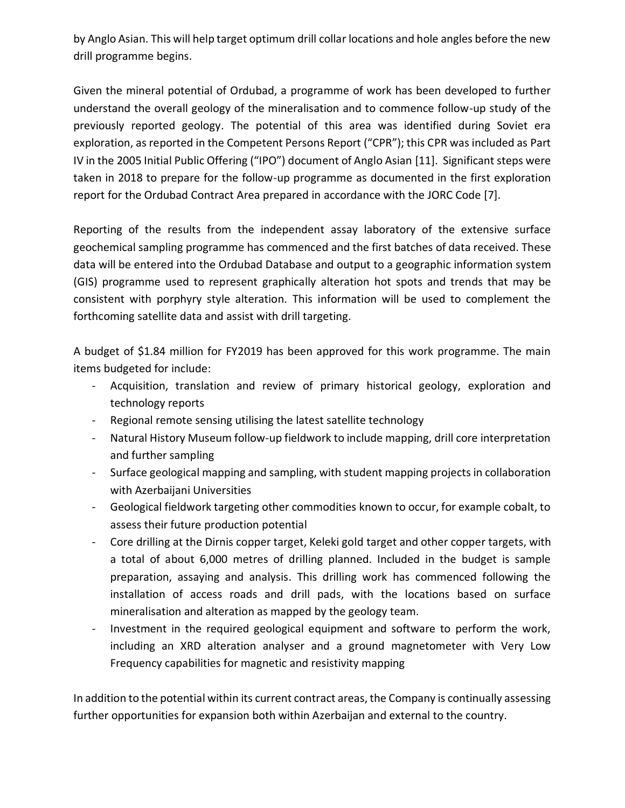by Anglo Asian. This will help target optimum drill collar locations and hole angles before the new drill programme begins.

Given the mineral potential of Ordubad, a programme of work has been developed to further understand the overall geology of the mineralisation and to commence follow-up study of the previously reported geology. The potential of this area was identified during Soviet era exploration, as reported in the Competent Persons Report ("CPR"); this CPR was included as Part IV in the 2005 Initial Public Offering ("IPO") document of Anglo Asian [11]. Significant steps were taken in 2018 to prepare for the follow-up programme as documented in the first exploration report for the Ordubad Contract Area prepared in accordance with the JORC Code [7].

Reporting of the results from the independent assay laboratory of the extensive surface geochemical sampling programme has commenced and the first batches of data received. These data will be entered into the Ordubad Database and output to a geographic information system (GIS) programme used to represent graphically alteration hot spots and trends that may be consistent with porphyry style alteration. This information will be used to complement the forthcoming satellite data and assist with drill targeting.

A budget of \$1.84 million for FY2019 has been approved for this work programme. The main items budgeted for include:

- Acquisition, translation and review of primary historical geology, exploration and technology reports
- Regional remote sensing utilising the latest satellite technology
- Natural History Museum follow-up fieldwork to include mapping, drill core interpretation and further sampling
- Surface geological mapping and sampling, with student mapping projects in collaboration with Azerbaijani Universities
- Geological fieldwork targeting other commodities known to occur, for example cobalt, to assess their future production potential
- Core drilling at the Dirnis copper target, Keleki gold target and other copper targets, with a total of about 6,000 metres of drilling planned. Included in the budget is sample preparation, assaying and analysis. This drilling work has commenced following the installation of access roads and drill pads, with the locations based on surface mineralisation and alteration as mapped by the geology team.
- Investment in the required geological equipment and software to perform the work, including an XRD alteration analyser and a ground magnetometer with Very Low Frequency capabilities for magnetic and resistivity mapping

In addition to the potential within its current contract areas, the Company is continually assessing further opportunities for expansion both within Azerbaijan and external to the country.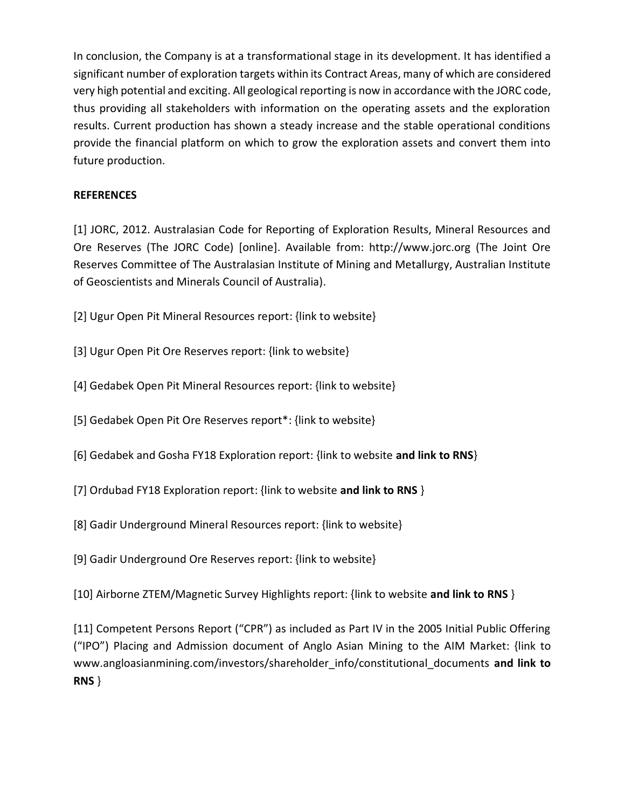In conclusion, the Company is at a transformational stage in its development. It has identified a significant number of exploration targets within its Contract Areas, many of which are considered very high potential and exciting. All geological reporting is now in accordance with the JORC code, thus providing all stakeholders with information on the operating assets and the exploration results. Current production has shown a steady increase and the stable operational conditions provide the financial platform on which to grow the exploration assets and convert them into future production.

## **REFERENCES**

[1] JORC, 2012. Australasian Code for Reporting of Exploration Results, Mineral Resources and Ore Reserves (The JORC Code) [online]. Available from: http://www.jorc.org (The Joint Ore Reserves Committee of The Australasian Institute of Mining and Metallurgy, Australian Institute of Geoscientists and Minerals Council of Australia).

- [2] Ugur Open Pit Mineral Resources report: {link to website}
- [3] Ugur Open Pit Ore Reserves report: {link to website}
- [4] Gedabek Open Pit Mineral Resources report: {link to website}
- [5] Gedabek Open Pit Ore Reserves report\*: {link to website}
- [6] Gedabek and Gosha FY18 Exploration report: {link to website **and link to RNS**}
- [7] Ordubad FY18 Exploration report: {link to website **and link to RNS** }
- [8] Gadir Underground Mineral Resources report: {link to website}
- [9] Gadir Underground Ore Reserves report: {link to website}

[10] Airborne ZTEM/Magnetic Survey Highlights report: {link to website **and link to RNS** }

[11] Competent Persons Report ("CPR") as included as Part IV in the 2005 Initial Public Offering ("IPO") Placing and Admission document of Anglo Asian Mining to the AIM Market: {link to [www.angloasianmining.com/investors/shareholder\\_info/constitutional\\_documents](http://www.angloasianmining.com/investors/shareholder_info/constitutional_documents/) **and link to RNS** }